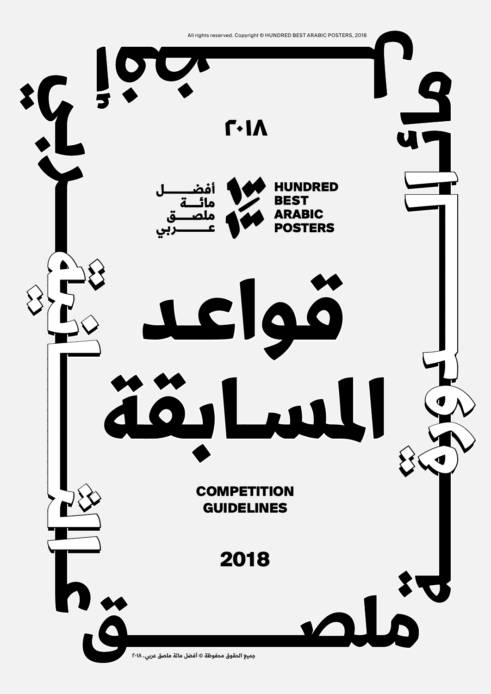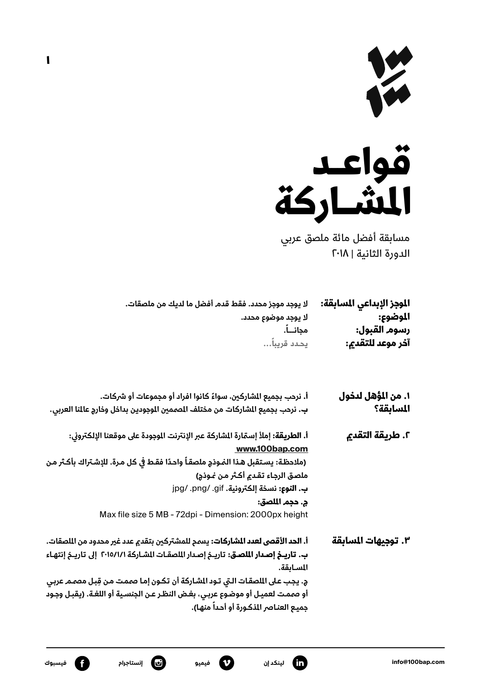

قواعــد الشـاركة

مسابقة أفضل مائة ملصق عربي الدورة الثانية | ٢٠١٨

| الموجز الإبداعي المسابقة: | لا يوجد موجز محدد. فقط قدم أفضل ما لديك من ملصقات. |
|---------------------------|----------------------------------------------------|
| الموضوع:                  | لا يوجد موضوع محدد.                                |
| رسوم القبول:              | محانـــاً.                                         |
| آخر موعد للتقدي:          | يحدد قريباً                                        |

| ١. من المؤلى لىخول<br>السابقة؟ | أ. نرحب بجميع الشاركين، سواءً كانوا افراد أو مجموعات أو شركات.<br>ب. نرحب بجميع الشاركات من مختلف المممين الوجودين بداخل وخارج عالنا العربي. |
|--------------------------------|----------------------------------------------------------------------------------------------------------------------------------------------|
| ٢. طريقة التقديم               | أ. الطريقة: إملأ إسمّارة الشاركة عبر الإنترنت الموجودة على موقعنا الإلكتروني:<br>www.100bap.com                                              |
|                                | (ملاحظة: يستقبل هـذا المَـوذج ملصقـاً واحـدًا فقـط في كل مـرة. للإشـتراك بأكـثر مـن                                                          |
|                                | ملصق الرجاء تقديم أكثر من غـوذج)                                                                                                             |
|                                | ب. النوع: نسخة إلكترونية. jpg/ .png/ .gif.                                                                                                   |
|                                | ج. حجم الملصق:                                                                                                                               |
|                                | Max file size 5 MB - 72dpi - Dimension: 2000px height                                                                                        |
| ٣. توجيهات المسابقة            | أ. الحد الأقصى لعدد الشاركات: يسمح للمشتركين بتقديم عدد غير محدود من المصقات.                                                                |
|                                | ب. تاريـــغ إصــدار الملصــق: تاريـــخ إصــدار الملصقــات الشــاركة ٢٠١٥/١/١ إلى تاريــخ إنتهـاء                                             |
|                                | السـابقة.                                                                                                                                    |
|                                | ج. يجب على الملعقات التي تـود المشاركة أن تكـون إمـا صممت مـن قِبـل مصمـم عربـى                                                              |
|                                | أو صممت لعميـل أو موضـوع عربـي، بغـض النظـر عـن الجنسـية أو اللغـة. (يـقبـل وجـود                                                            |
|                                | جميع العناصر الذكـورة أو أحـداً منهـا).                                                                                                      |





١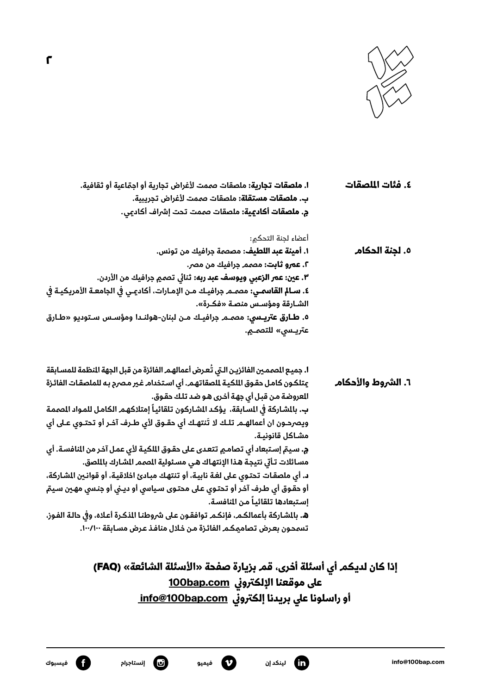

| ا. ملصقات تجارية: ملصقات صمت لأغراض تجارية أو اجمّاعية أو ثقافية.                                                   | ٤. فئات الملصقات   |
|---------------------------------------------------------------------------------------------------------------------|--------------------|
| ب. ملصقات مستقلة: ملصقات صمت لأغراض تجريبية.                                                                        |                    |
| ج. ملصقات أكادعية: ملصقات صممت تحت إشراف أكاديي.                                                                    |                    |
| أعضاء لجنة التحكيم:                                                                                                 |                    |
| ١. أمينة عبد اللطيف: مصصمة جرافيك من تونس.                                                                          | ه. لجنة الحكام     |
| ٢. عمرو ثابت: مصمر جرافيك من مصر.                                                                                   |                    |
| ٣. عين: عمر الزعبي ويوسف عبد ربه: ثنائي تصميم جرافيك من الأردن.                                                     |                    |
|                                                                                                                     |                    |
| ٤. سـالم القاسمـي: مصـمـ جرافيـك مـن الإمـارات، أكاديـي في الجامعـة الأمريكيـة في<br>الشـارقة ومؤسـس منصـة «فكـرة». |                    |
|                                                                                                                     |                    |
| ٥. طـارق عتريــسي: مصــم جرافيـك مـن لبنان-هولنـدا ومؤسـس سـتوديو «طـارق<br>عتريـسي» للتصمــم.                      |                    |
|                                                                                                                     |                    |
| ا. جميع الصممين الفائزيـن الـتي تُعـرض أعمالهـمـ الفائزة من قبل الجهة النظمة للمسـابقة                              |                    |
| عتلكون كامل حقوق اللكية للصقاتهم. أي استخدام غير مصرح به للملصقات الفائزة                                           | ٦. الشروط والأدكام |
| العروضة من قبل أي جهة أخرى هو ضد تلك حقوق.                                                                          |                    |
| ب. بالشاركة في السابقة، يؤكد الشاركون تلقائياً إمتلاكهم الكامل للمواد الصممة                                        |                    |
| ويصرحـون ان أعمالهـم تلـك لا تَنتهـك أي حقـوق لأي طـرف آخـر أو تحتـوي عـلى أي                                       |                    |
| مشـاكل قانونيـة.                                                                                                    |                    |
| ج. سيمّ إستبعاد أي تصاميم تتعدى على حقوق الملكية لأي عمل آخر من النافسة. أي                                         |                    |
| مسائلات تـأتى نتيجة هـذا الإنتهـاك هـى مسئولية المممـ الشـارك باللصق.                                               |                    |
| د. أي ملصقات تحتوي على لغة نابية، أو تنتهك مبادئ اخلاقية، أو قوانين الشاركة،                                        |                    |
| أو حقـوق أي طـرف آخـر أو تحتـوي عـلى محتـوى سـياسي أو ديـني أو جنـسي مهـين سـيـمّ                                   |                    |
| إستبعادها تلقائياً من النافسة.                                                                                      |                    |
| هـ. بالشاركة بأعمالكـمـ، فإنكـمـ توافقـون عـلى شروطنـا المذكـرة أعـلاه، وفي حالـة الفـوز،                           |                    |
| تسمحون بعرض تصاميمكم الفائزة من خلال منافذ عرض مسابقة ١٠٠/١٠٠.                                                      |                    |
|                                                                                                                     |                    |

إذا كان لديكم أي أسئلة أخرى، قم بزيارة صفحة «الأسئلة الشائعة» (FAQ) على موقع*ن*ا الإلكتروني <u>100bap.com</u> أو راسلونا علي بريدنا إلكتروني <u>info@100bap.com</u>







٢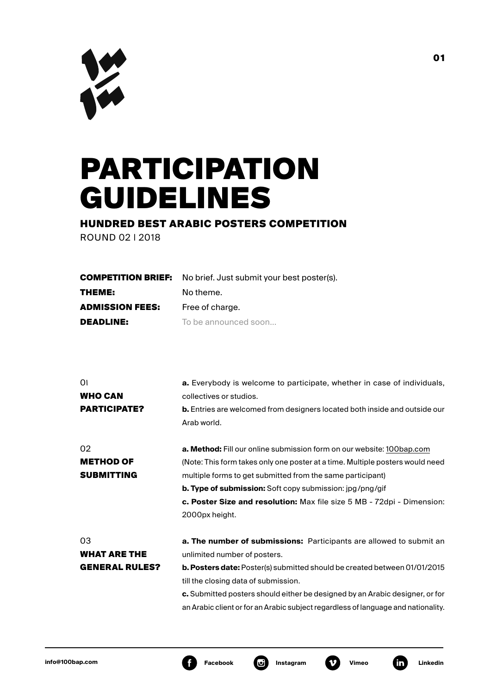

# **PARTICIPATION GUIDELINES**

hundred best arabic posters competition

round 02 | 2018

|                        | <b>COMPETITION BRIEF:</b> No brief. Just submit your best poster(s). |
|------------------------|----------------------------------------------------------------------|
| THEME:                 | No theme.                                                            |
| <b>ADMISSION FEES:</b> | Free of charge.                                                      |
| <b>DEADLINE:</b>       | To be announced soon                                                 |

| $\Omega$              | <b>a.</b> Everybody is welcome to participate, whether in case of individuals,    |
|-----------------------|-----------------------------------------------------------------------------------|
| <b>WHO CAN</b>        | collectives or studios.                                                           |
| <b>PARTICIPATE?</b>   | b. Entries are welcomed from designers located both inside and outside our        |
|                       | Arab world.                                                                       |
| 02                    | a. Method: Fill our online submission form on our website: 100bap.com             |
| <b>METHOD OF</b>      | (Note: This form takes only one poster at a time. Multiple posters would need     |
| <b>SUBMITTING</b>     | multiple forms to get submitted from the same participant)                        |
|                       | <b>b. Type of submission:</b> Soft copy submission: jpg/png/gif                   |
|                       | c. Poster Size and resolution: Max file size 5 MB - 72dpi - Dimension:            |
|                       | 2000px height.                                                                    |
| 03                    | a. The number of submissions: Participants are allowed to submit an               |
| <b>WHAT ARE THE</b>   | unlimited number of posters.                                                      |
| <b>GENERAL RULES?</b> | <b>b. Posters date:</b> Poster(s) submitted should be created between 01/01/2015  |
|                       | till the closing data of submission.                                              |
|                       | c. Submitted posters should either be designed by an Arabic designer, or for      |
|                       | an Arabic client or for an Arabic subject regardless of language and nationality. |